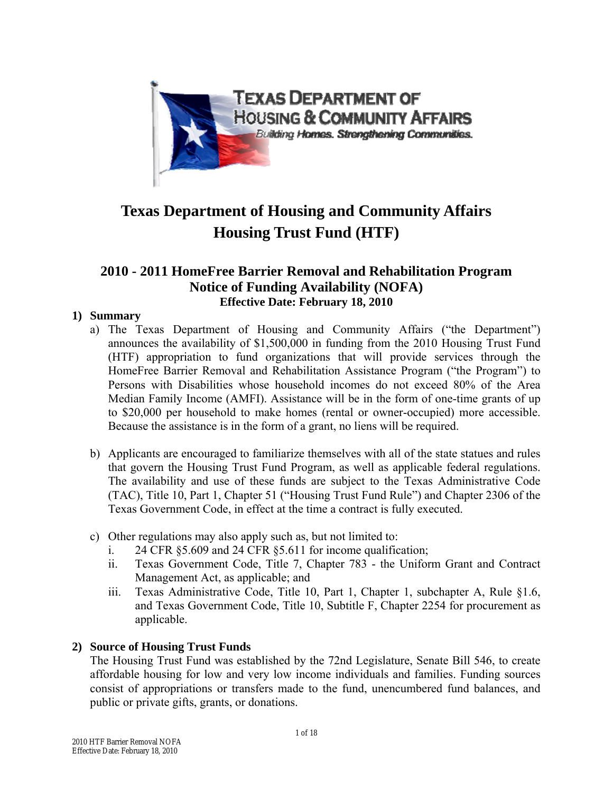

# **Texas Department of Housing and Community Affairs Housing Trust Fund (HTF)**

# **2010 - 2011 HomeFree Barrier Removal and Rehabilitation Program Notice of Funding Availability (NOFA) Effective Date: February 18, 2010**

# **1) Summary**

- a) The Texas Department of Housing and Community Affairs ("the Department") announces the availability of \$1,500,000 in funding from the 2010 Housing Trust Fund (HTF) appropriation to fund organizations that will provide services through the HomeFree Barrier Removal and Rehabilitation Assistance Program ("the Program") to Persons with Disabilities whose household incomes do not exceed 80% of the Area Median Family Income (AMFI). Assistance will be in the form of one-time grants of up to \$20,000 per household to make homes (rental or owner-occupied) more accessible. Because the assistance is in the form of a grant, no liens will be required.
- b) Applicants are encouraged to familiarize themselves with all of the state statues and rules that govern the Housing Trust Fund Program, as well as applicable federal regulations. The availability and use of these funds are subject to the Texas Administrative Code (TAC), Title 10, Part 1, Chapter 51 ("Housing Trust Fund Rule") and Chapter 2306 of the Texas Government Code, in effect at the time a contract is fully executed.
- c) Other regulations may also apply such as, but not limited to:
	- i. 24 CFR §5.609 and 24 CFR §5.611 for income qualification;
	- ii. Texas Government Code, Title 7, Chapter 783 the Uniform Grant and Contract Management Act, as applicable; and
	- iii. Texas Administrative Code, Title 10, Part 1, Chapter 1, subchapter A, Rule §1.6, and Texas Government Code, Title 10, Subtitle F, Chapter 2254 for procurement as applicable.

# **2) Source of Housing Trust Funds**

The Housing Trust Fund was established by the 72nd Legislature, Senate Bill 546, to create affordable housing for low and very low income individuals and families. Funding sources consist of appropriations or transfers made to the fund, unencumbered fund balances, and public or private gifts, grants, or donations.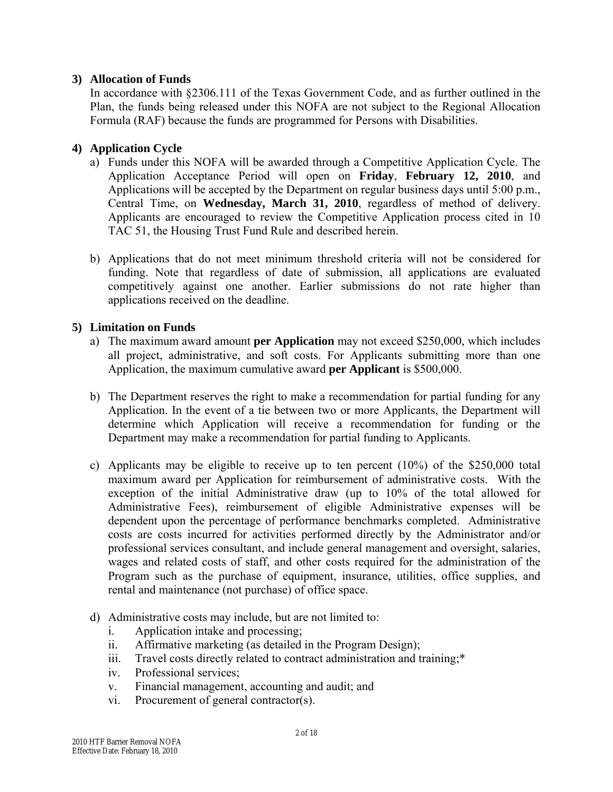### **3) Allocation of Funds**

In accordance with §2306.111 of the Texas Government Code, and as further outlined in the Plan, the funds being released under this NOFA are not subject to the Regional Allocation Formula (RAF) because the funds are programmed for Persons with Disabilities.

# **4) Application Cycle**

- a) Funds under this NOFA will be awarded through a Competitive Application Cycle. The Application Acceptance Period will open on **Friday**, **February 12, 2010**, and Applications will be accepted by the Department on regular business days until 5:00 p.m., Central Time, on **Wednesday, March 31, 2010**, regardless of method of delivery. Applicants are encouraged to review the Competitive Application process cited in 10 TAC 51, the Housing Trust Fund Rule and described herein.
- b) Applications that do not meet minimum threshold criteria will not be considered for funding. Note that regardless of date of submission, all applications are evaluated competitively against one another. Earlier submissions do not rate higher than applications received on the deadline.

# **5) Limitation on Funds**

- a) The maximum award amount **per Application** may not exceed \$250,000, which includes all project, administrative, and soft costs. For Applicants submitting more than one Application, the maximum cumulative award **per Applicant** is \$500,000.
- b) The Department reserves the right to make a recommendation for partial funding for any Application. In the event of a tie between two or more Applicants, the Department will determine which Application will receive a recommendation for funding or the Department may make a recommendation for partial funding to Applicants.
- c) Applicants may be eligible to receive up to ten percent (10%) of the \$250,000 total maximum award per Application for reimbursement of administrative costs. With the exception of the initial Administrative draw (up to 10% of the total allowed for Administrative Fees), reimbursement of eligible Administrative expenses will be dependent upon the percentage of performance benchmarks completed. Administrative costs are costs incurred for activities performed directly by the Administrator and/or professional services consultant, and include general management and oversight, salaries, wages and related costs of staff, and other costs required for the administration of the Program such as the purchase of equipment, insurance, utilities, office supplies, and rental and maintenance (not purchase) of office space.
- d) Administrative costs may include, but are not limited to:
	- i. Application intake and processing;
	- ii. Affirmative marketing (as detailed in the Program Design);
	- iii. Travel costs directly related to contract administration and training;\*
	- iv. Professional services;
	- v. Financial management, accounting and audit; and
	- vi. Procurement of general contractor(s).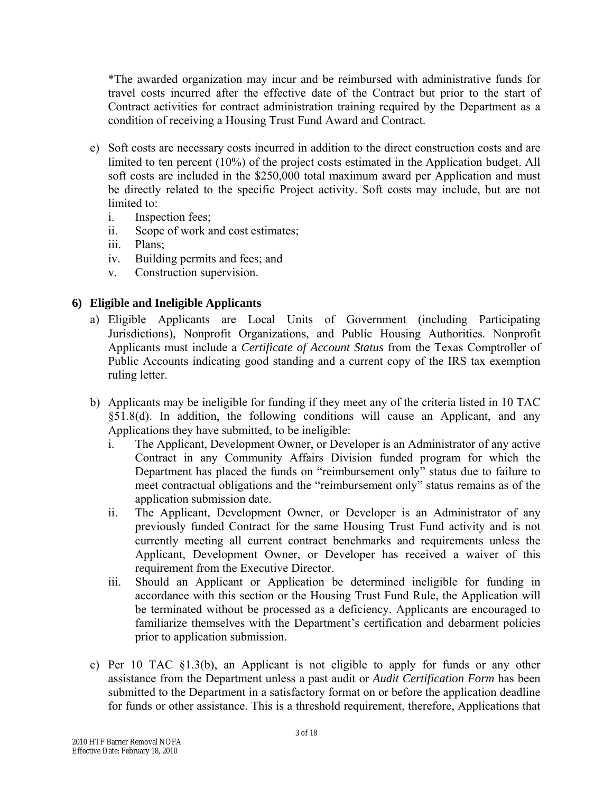\*The awarded organization may incur and be reimbursed with administrative funds for travel costs incurred after the effective date of the Contract but prior to the start of Contract activities for contract administration training required by the Department as a condition of receiving a Housing Trust Fund Award and Contract.

- e) Soft costs are necessary costs incurred in addition to the direct construction costs and are limited to ten percent (10%) of the project costs estimated in the Application budget. All soft costs are included in the \$250,000 total maximum award per Application and must be directly related to the specific Project activity. Soft costs may include, but are not limited to:
	- i. Inspection fees;
	- ii. Scope of work and cost estimates;
	- iii. Plans;
	- iv. Building permits and fees; and
	- v. Construction supervision.

# **6) Eligible and Ineligible Applicants**

- a) Eligible Applicants are Local Units of Government (including Participating Jurisdictions), Nonprofit Organizations, and Public Housing Authorities. Nonprofit Applicants must include a *Certificate of Account Status* from the Texas Comptroller of Public Accounts indicating good standing and a current copy of the IRS tax exemption ruling letter.
- b) Applicants may be ineligible for funding if they meet any of the criteria listed in 10 TAC §51.8(d). In addition, the following conditions will cause an Applicant, and any Applications they have submitted, to be ineligible:
	- i. The Applicant, Development Owner, or Developer is an Administrator of any active Contract in any Community Affairs Division funded program for which the Department has placed the funds on "reimbursement only" status due to failure to meet contractual obligations and the "reimbursement only" status remains as of the application submission date.
	- ii. The Applicant, Development Owner, or Developer is an Administrator of any previously funded Contract for the same Housing Trust Fund activity and is not currently meeting all current contract benchmarks and requirements unless the Applicant, Development Owner, or Developer has received a waiver of this requirement from the Executive Director.
	- iii. Should an Applicant or Application be determined ineligible for funding in accordance with this section or the Housing Trust Fund Rule, the Application will be terminated without be processed as a deficiency. Applicants are encouraged to familiarize themselves with the Department's certification and debarment policies prior to application submission.
- c) Per 10 TAC §1.3(b), an Applicant is not eligible to apply for funds or any other assistance from the Department unless a past audit or *Audit Certification Form* has been submitted to the Department in a satisfactory format on or before the application deadline for funds or other assistance. This is a threshold requirement, therefore, Applications that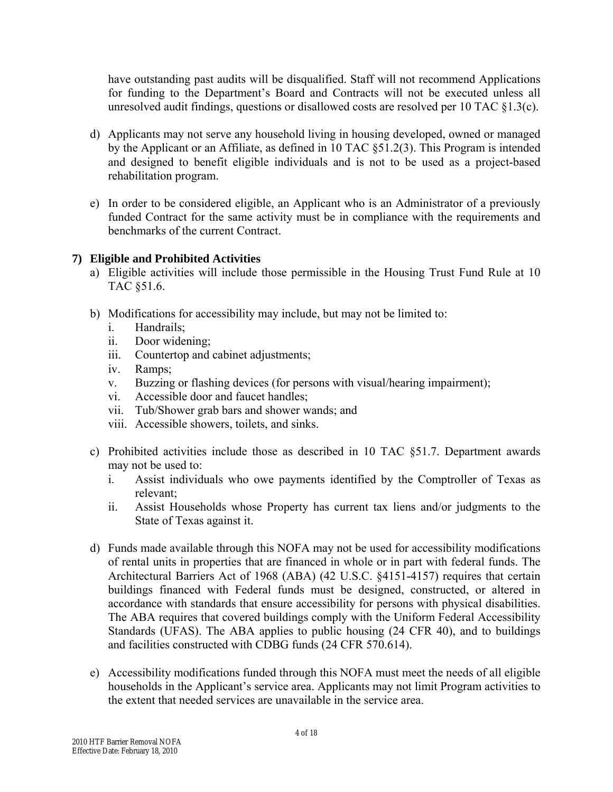have outstanding past audits will be disqualified. Staff will not recommend Applications for funding to the Department's Board and Contracts will not be executed unless all unresolved audit findings, questions or disallowed costs are resolved per 10 TAC §1.3(c).

- d) Applicants may not serve any household living in housing developed, owned or managed by the Applicant or an Affiliate, as defined in 10 TAC §51.2(3). This Program is intended and designed to benefit eligible individuals and is not to be used as a project-based rehabilitation program.
- e) In order to be considered eligible, an Applicant who is an Administrator of a previously funded Contract for the same activity must be in compliance with the requirements and benchmarks of the current Contract.

# **7) Eligible and Prohibited Activities**

- a) Eligible activities will include those permissible in the Housing Trust Fund Rule at 10 TAC §51.6.
- b) Modifications for accessibility may include, but may not be limited to:
	- i. Handrails;
	- ii. Door widening;
	- iii. Countertop and cabinet adjustments;
	- iv. Ramps;
	- v. Buzzing or flashing devices (for persons with visual/hearing impairment);
	- vi. Accessible door and faucet handles;
	- vii. Tub/Shower grab bars and shower wands; and
	- viii. Accessible showers, toilets, and sinks.
- c) Prohibited activities include those as described in 10 TAC §51.7. Department awards may not be used to:
	- i. Assist individuals who owe payments identified by the Comptroller of Texas as relevant;
	- ii. Assist Households whose Property has current tax liens and/or judgments to the State of Texas against it.
- d) Funds made available through this NOFA may not be used for accessibility modifications of rental units in properties that are financed in whole or in part with federal funds. The Architectural Barriers Act of 1968 (ABA) (42 U.S.C. §4151-4157) requires that certain buildings financed with Federal funds must be designed, constructed, or altered in accordance with standards that ensure accessibility for persons with physical disabilities. The ABA requires that covered buildings comply with the Uniform Federal Accessibility Standards (UFAS). The ABA applies to public housing (24 CFR 40), and to buildings and facilities constructed with CDBG funds (24 CFR 570.614).
- e) Accessibility modifications funded through this NOFA must meet the needs of all eligible households in the Applicant's service area. Applicants may not limit Program activities to the extent that needed services are unavailable in the service area.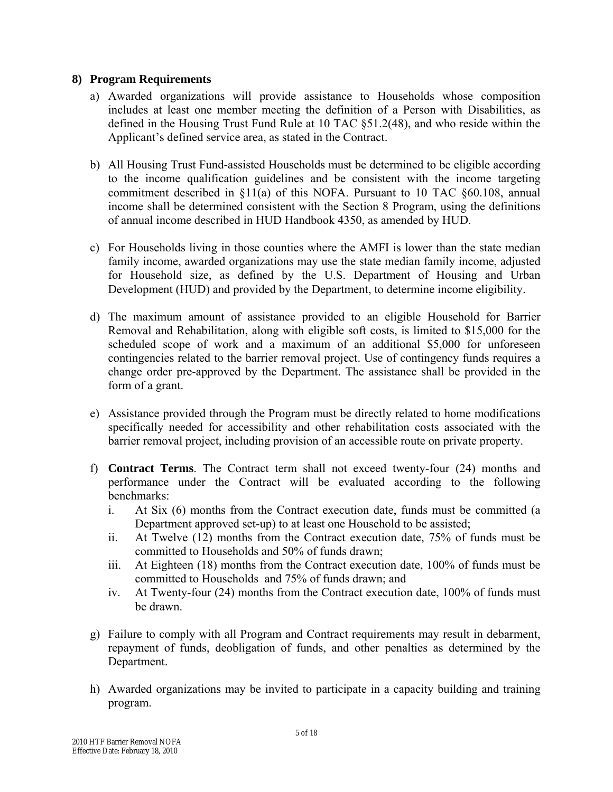#### **8) Program Requirements**

- a) Awarded organizations will provide assistance to Households whose composition includes at least one member meeting the definition of a Person with Disabilities, as defined in the Housing Trust Fund Rule at 10 TAC §51.2(48), and who reside within the Applicant's defined service area, as stated in the Contract.
- b) All Housing Trust Fund-assisted Households must be determined to be eligible according to the income qualification guidelines and be consistent with the income targeting commitment described in §11(a) of this NOFA. Pursuant to 10 TAC §60.108, annual income shall be determined consistent with the Section 8 Program, using the definitions of annual income described in HUD Handbook 4350, as amended by HUD.
- c) For Households living in those counties where the AMFI is lower than the state median family income, awarded organizations may use the state median family income, adjusted for Household size, as defined by the U.S. Department of Housing and Urban Development (HUD) and provided by the Department, to determine income eligibility.
- d) The maximum amount of assistance provided to an eligible Household for Barrier Removal and Rehabilitation, along with eligible soft costs, is limited to \$15,000 for the scheduled scope of work and a maximum of an additional \$5,000 for unforeseen contingencies related to the barrier removal project. Use of contingency funds requires a change order pre-approved by the Department. The assistance shall be provided in the form of a grant.
- e) Assistance provided through the Program must be directly related to home modifications specifically needed for accessibility and other rehabilitation costs associated with the barrier removal project, including provision of an accessible route on private property.
- f) **Contract Terms**. The Contract term shall not exceed twenty-four (24) months and performance under the Contract will be evaluated according to the following benchmarks:
	- i. At Six (6) months from the Contract execution date, funds must be committed (a Department approved set-up) to at least one Household to be assisted;
	- ii. At Twelve (12) months from the Contract execution date, 75% of funds must be committed to Households and 50% of funds drawn;
	- iii. At Eighteen (18) months from the Contract execution date, 100% of funds must be committed to Households and 75% of funds drawn; and
	- iv. At Twenty-four (24) months from the Contract execution date, 100% of funds must be drawn.
- g) Failure to comply with all Program and Contract requirements may result in debarment, repayment of funds, deobligation of funds, and other penalties as determined by the Department.
- h) Awarded organizations may be invited to participate in a capacity building and training program.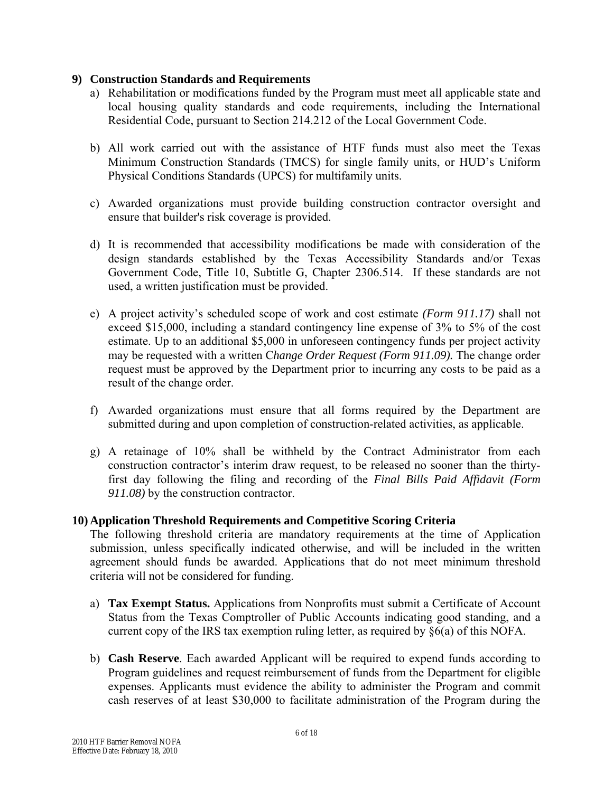#### **9) Construction Standards and Requirements**

- a) Rehabilitation or modifications funded by the Program must meet all applicable state and local housing quality standards and code requirements, including the International Residential Code, pursuant to Section 214.212 of the Local Government Code.
- b) All work carried out with the assistance of HTF funds must also meet the Texas Minimum Construction Standards (TMCS) for single family units, or HUD's Uniform Physical Conditions Standards (UPCS) for multifamily units.
- c) Awarded organizations must provide building construction contractor oversight and ensure that builder's risk coverage is provided.
- d) It is recommended that accessibility modifications be made with consideration of the design standards established by the Texas Accessibility Standards and/or Texas Government Code, Title 10, Subtitle G, Chapter 2306.514. If these standards are not used, a written justification must be provided.
- e) A project activity's scheduled scope of work and cost estimate *(Form 911.17)* shall not exceed \$15,000, including a standard contingency line expense of 3% to 5% of the cost estimate. Up to an additional \$5,000 in unforeseen contingency funds per project activity may be requested with a written C*hange Order Request (Form 911.09).* The change order request must be approved by the Department prior to incurring any costs to be paid as a result of the change order.
- f) Awarded organizations must ensure that all forms required by the Department are submitted during and upon completion of construction-related activities, as applicable.
- g) A retainage of 10% shall be withheld by the Contract Administrator from each construction contractor's interim draw request, to be released no sooner than the thirtyfirst day following the filing and recording of the *Final Bills Paid Affidavit (Form 911.08)* by the construction contractor.

#### **10) Application Threshold Requirements and Competitive Scoring Criteria**

The following threshold criteria are mandatory requirements at the time of Application submission, unless specifically indicated otherwise, and will be included in the written agreement should funds be awarded. Applications that do not meet minimum threshold criteria will not be considered for funding.

- a) **Tax Exempt Status.** Applications from Nonprofits must submit a Certificate of Account Status from the Texas Comptroller of Public Accounts indicating good standing, and a current copy of the IRS tax exemption ruling letter, as required by §6(a) of this NOFA.
- b) **Cash Reserve**. Each awarded Applicant will be required to expend funds according to Program guidelines and request reimbursement of funds from the Department for eligible expenses. Applicants must evidence the ability to administer the Program and commit cash reserves of at least \$30,000 to facilitate administration of the Program during the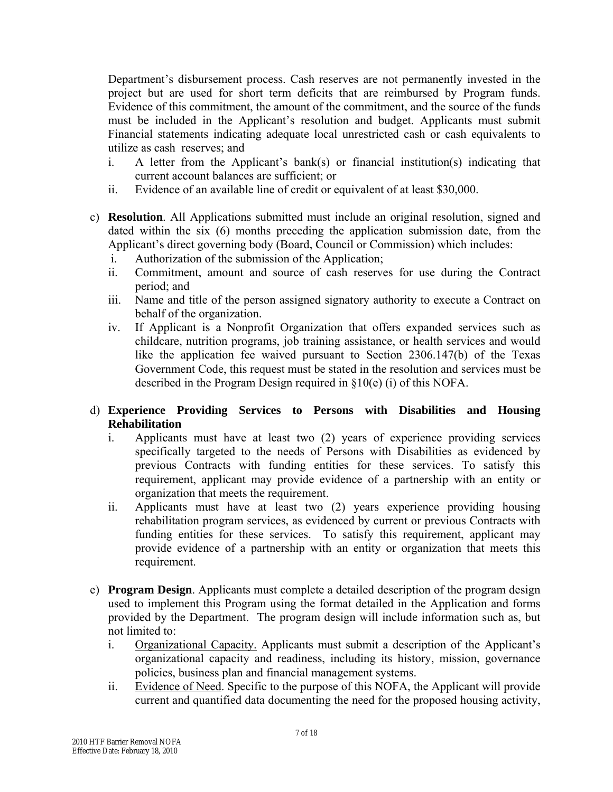Department's disbursement process. Cash reserves are not permanently invested in the project but are used for short term deficits that are reimbursed by Program funds. Evidence of this commitment, the amount of the commitment, and the source of the funds must be included in the Applicant's resolution and budget. Applicants must submit Financial statements indicating adequate local unrestricted cash or cash equivalents to utilize as cash reserves; and

- i. A letter from the Applicant's bank(s) or financial institution(s) indicating that current account balances are sufficient; or
- ii. Evidence of an available line of credit or equivalent of at least \$30,000.
- c) **Resolution**. All Applications submitted must include an original resolution, signed and dated within the six (6) months preceding the application submission date, from the Applicant's direct governing body (Board, Council or Commission) which includes:
	- i. Authorization of the submission of the Application;
	- ii. Commitment, amount and source of cash reserves for use during the Contract period; and
	- iii. Name and title of the person assigned signatory authority to execute a Contract on behalf of the organization.
	- iv. If Applicant is a Nonprofit Organization that offers expanded services such as childcare, nutrition programs, job training assistance, or health services and would like the application fee waived pursuant to Section 2306.147(b) of the Texas Government Code, this request must be stated in the resolution and services must be described in the Program Design required in §10(e) (i) of this NOFA.

# d) **Experience Providing Services to Persons with Disabilities and Housing Rehabilitation**

- i. Applicants must have at least two (2) years of experience providing services specifically targeted to the needs of Persons with Disabilities as evidenced by previous Contracts with funding entities for these services. To satisfy this requirement, applicant may provide evidence of a partnership with an entity or organization that meets the requirement.
- ii. Applicants must have at least two (2) years experience providing housing rehabilitation program services, as evidenced by current or previous Contracts with funding entities for these services. To satisfy this requirement, applicant may provide evidence of a partnership with an entity or organization that meets this requirement.
- e) **Program Design**. Applicants must complete a detailed description of the program design used to implement this Program using the format detailed in the Application and forms provided by the Department. The program design will include information such as, but not limited to:
	- i. Organizational Capacity. Applicants must submit a description of the Applicant's organizational capacity and readiness, including its history, mission, governance policies, business plan and financial management systems.
	- ii. Evidence of Need. Specific to the purpose of this NOFA, the Applicant will provide current and quantified data documenting the need for the proposed housing activity,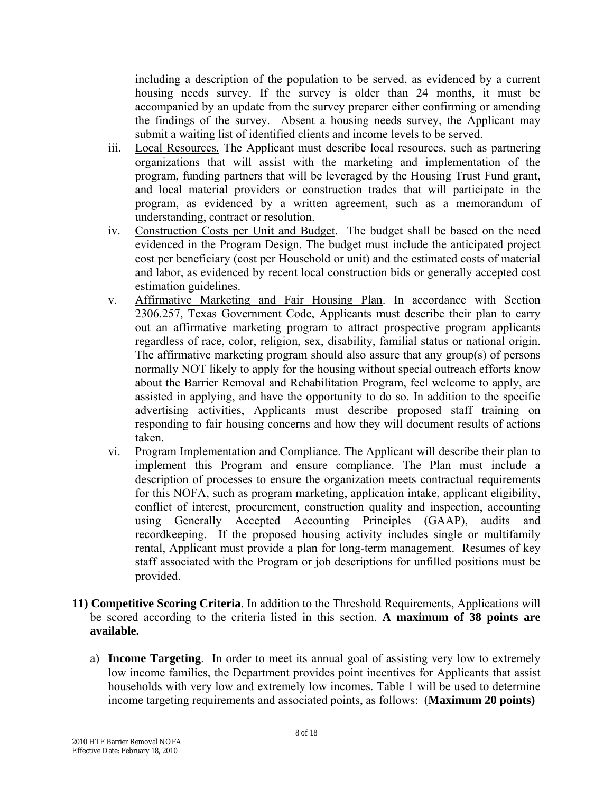including a description of the population to be served, as evidenced by a current housing needs survey. If the survey is older than 24 months, it must be accompanied by an update from the survey preparer either confirming or amending the findings of the survey. Absent a housing needs survey, the Applicant may submit a waiting list of identified clients and income levels to be served.

- iii. Local Resources. The Applicant must describe local resources, such as partnering organizations that will assist with the marketing and implementation of the program, funding partners that will be leveraged by the Housing Trust Fund grant, and local material providers or construction trades that will participate in the program, as evidenced by a written agreement, such as a memorandum of understanding, contract or resolution.
- iv. Construction Costs per Unit and Budget. The budget shall be based on the need evidenced in the Program Design. The budget must include the anticipated project cost per beneficiary (cost per Household or unit) and the estimated costs of material and labor, as evidenced by recent local construction bids or generally accepted cost estimation guidelines.
- v. Affirmative Marketing and Fair Housing Plan. In accordance with Section 2306.257, Texas Government Code, Applicants must describe their plan to carry out an affirmative marketing program to attract prospective program applicants regardless of race, color, religion, sex, disability, familial status or national origin. The affirmative marketing program should also assure that any group(s) of persons normally NOT likely to apply for the housing without special outreach efforts know about the Barrier Removal and Rehabilitation Program, feel welcome to apply, are assisted in applying, and have the opportunity to do so. In addition to the specific advertising activities, Applicants must describe proposed staff training on responding to fair housing concerns and how they will document results of actions taken.
- vi. Program Implementation and Compliance. The Applicant will describe their plan to implement this Program and ensure compliance. The Plan must include a description of processes to ensure the organization meets contractual requirements for this NOFA, such as program marketing, application intake, applicant eligibility, conflict of interest, procurement, construction quality and inspection, accounting using Generally Accepted Accounting Principles (GAAP), audits and recordkeeping. If the proposed housing activity includes single or multifamily rental, Applicant must provide a plan for long-term management. Resumes of key staff associated with the Program or job descriptions for unfilled positions must be provided.
- **11) Competitive Scoring Criteria**. In addition to the Threshold Requirements, Applications will be scored according to the criteria listed in this section. **A maximum of 38 points are available.** 
	- a) **Income Targeting**. In order to meet its annual goal of assisting very low to extremely low income families, the Department provides point incentives for Applicants that assist households with very low and extremely low incomes. Table 1 will be used to determine income targeting requirements and associated points, as follows: (**Maximum 20 points)**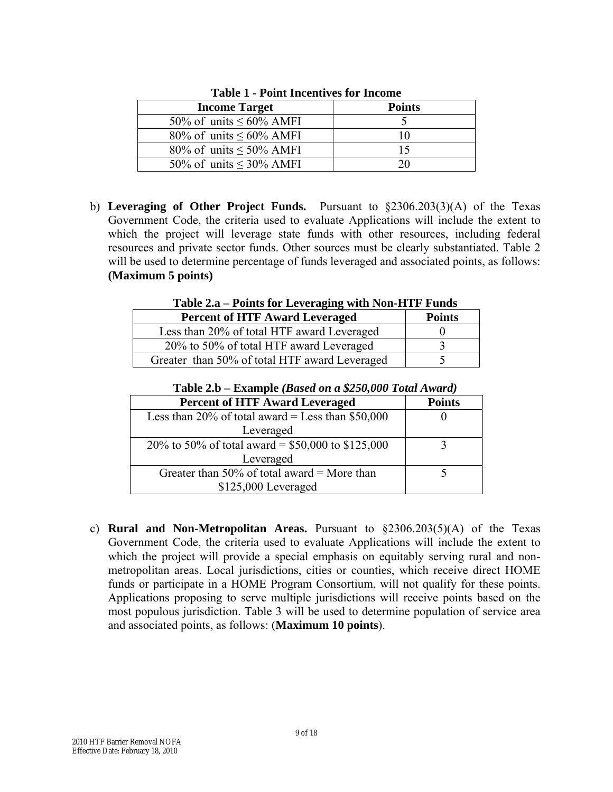| <b>Income Target</b>          | <b>Points</b> |
|-------------------------------|---------------|
| 50% of units $\leq 60\%$ AMFI |               |
| 80% of units $\leq 60\%$ AMFI |               |
| 80% of units $\leq 50\%$ AMFI |               |
| 50% of units $\leq$ 30% AMFI  |               |

**Table 1 - Point Incentives for Income** 

b) **Leveraging of Other Project Funds.** Pursuant to §2306.203(3)(A) of the Texas Government Code, the criteria used to evaluate Applications will include the extent to which the project will leverage state funds with other resources, including federal resources and private sector funds. Other sources must be clearly substantiated. Table 2 will be used to determine percentage of funds leveraged and associated points, as follows: **(Maximum 5 points)** 

**Table 2.a – Points for Leveraging with Non-HTF Funds** 

| <b>Percent of HTF Award Leveraged</b>         | <b>Points</b> |
|-----------------------------------------------|---------------|
| Less than 20% of total HTF award Leveraged    |               |
| 20% to 50% of total HTF award Leveraged       |               |
| Greater than 50% of total HTF award Leveraged |               |

| <b>Percent of HTF Award Leveraged</b>              | <b>Points</b> |
|----------------------------------------------------|---------------|
| Less than 20% of total award = Less than $$50,000$ |               |
| Leveraged                                          |               |
| 20% to 50% of total award = \$50,000 to \$125,000  |               |
| Leveraged                                          |               |
| Greater than 50% of total award = More than        |               |
| $$125,000$ Leveraged                               |               |

**Table 2.b – Example** *(Based on a \$250,000 Total Award)*

c) **Rural and Non-Metropolitan Areas.** Pursuant to §2306.203(5)(A) of the Texas Government Code, the criteria used to evaluate Applications will include the extent to which the project will provide a special emphasis on equitably serving rural and nonmetropolitan areas. Local jurisdictions, cities or counties, which receive direct HOME funds or participate in a HOME Program Consortium, will not qualify for these points. Applications proposing to serve multiple jurisdictions will receive points based on the most populous jurisdiction. Table 3 will be used to determine population of service area and associated points, as follows: (**Maximum 10 points**).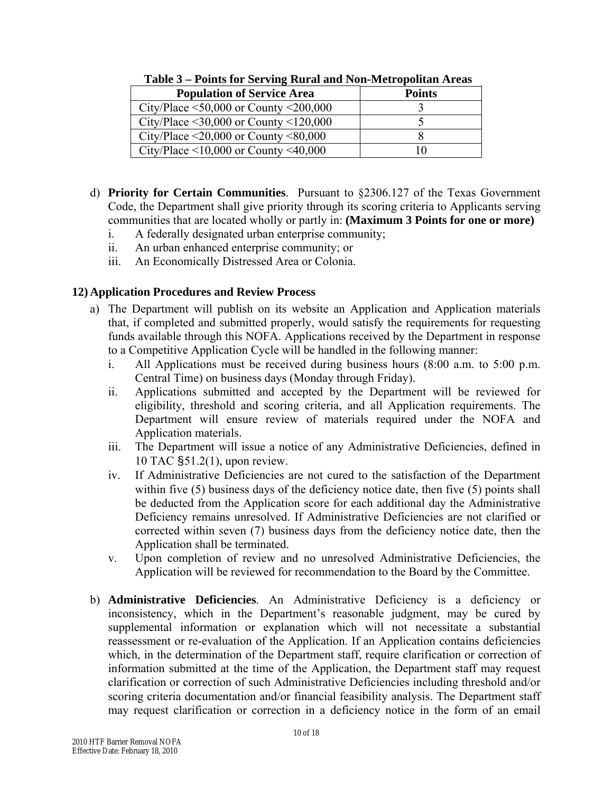| <b>Population of Service Area</b>                 | <b>Points</b> |
|---------------------------------------------------|---------------|
| City/Place $\leq 50,000$ or County $\leq 200,000$ |               |
| City/Place $\leq$ 30,000 or County $\leq$ 120,000 |               |
| City/Place $\leq$ 20,000 or County $\leq$ 80,000  |               |
| City/Place $\leq 10,000$ or County $\leq 40,000$  |               |

 **Table 3 – Points for Serving Rural and Non-Metropolitan Areas** 

- d) **Priority for Certain Communities**. Pursuant to §2306.127 of the Texas Government Code, the Department shall give priority through its scoring criteria to Applicants serving communities that are located wholly or partly in: **(Maximum 3 Points for one or more)**
	- i. A federally designated urban enterprise community;
	- ii. An urban enhanced enterprise community; or
	- iii. An Economically Distressed Area or Colonia.

# **12) Application Procedures and Review Process**

- a) The Department will publish on its website an Application and Application materials that, if completed and submitted properly, would satisfy the requirements for requesting funds available through this NOFA. Applications received by the Department in response to a Competitive Application Cycle will be handled in the following manner:
	- i. All Applications must be received during business hours (8:00 a.m. to 5:00 p.m. Central Time) on business days (Monday through Friday).
	- ii. Applications submitted and accepted by the Department will be reviewed for eligibility, threshold and scoring criteria, and all Application requirements. The Department will ensure review of materials required under the NOFA and Application materials.
	- iii. The Department will issue a notice of any Administrative Deficiencies, defined in 10 TAC §51.2(1), upon review.
	- iv. If Administrative Deficiencies are not cured to the satisfaction of the Department within five (5) business days of the deficiency notice date, then five (5) points shall be deducted from the Application score for each additional day the Administrative Deficiency remains unresolved. If Administrative Deficiencies are not clarified or corrected within seven (7) business days from the deficiency notice date, then the Application shall be terminated.
	- v. Upon completion of review and no unresolved Administrative Deficiencies, the Application will be reviewed for recommendation to the Board by the Committee.
- b) **Administrative Deficiencies**. An Administrative Deficiency is a deficiency or inconsistency, which in the Department's reasonable judgment, may be cured by supplemental information or explanation which will not necessitate a substantial reassessment or re-evaluation of the Application. If an Application contains deficiencies which, in the determination of the Department staff, require clarification or correction of information submitted at the time of the Application, the Department staff may request clarification or correction of such Administrative Deficiencies including threshold and/or scoring criteria documentation and/or financial feasibility analysis. The Department staff may request clarification or correction in a deficiency notice in the form of an email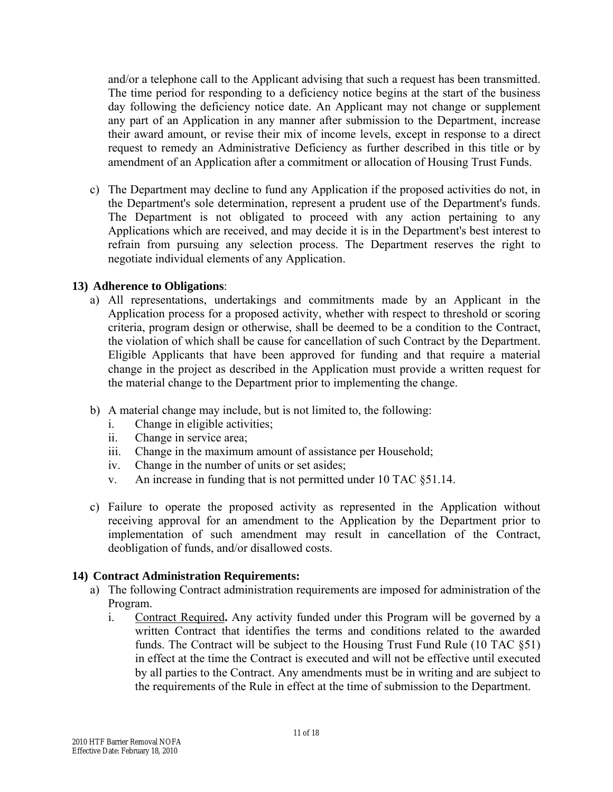and/or a telephone call to the Applicant advising that such a request has been transmitted. The time period for responding to a deficiency notice begins at the start of the business day following the deficiency notice date. An Applicant may not change or supplement any part of an Application in any manner after submission to the Department, increase their award amount, or revise their mix of income levels, except in response to a direct request to remedy an Administrative Deficiency as further described in this title or by amendment of an Application after a commitment or allocation of Housing Trust Funds.

c) The Department may decline to fund any Application if the proposed activities do not, in the Department's sole determination, represent a prudent use of the Department's funds. The Department is not obligated to proceed with any action pertaining to any Applications which are received, and may decide it is in the Department's best interest to refrain from pursuing any selection process. The Department reserves the right to negotiate individual elements of any Application.

#### **13) Adherence to Obligations**:

- a) All representations, undertakings and commitments made by an Applicant in the Application process for a proposed activity, whether with respect to threshold or scoring criteria, program design or otherwise, shall be deemed to be a condition to the Contract, the violation of which shall be cause for cancellation of such Contract by the Department. Eligible Applicants that have been approved for funding and that require a material change in the project as described in the Application must provide a written request for the material change to the Department prior to implementing the change.
- b) A material change may include, but is not limited to, the following:
	- i. Change in eligible activities;
	- ii. Change in service area;
	- iii. Change in the maximum amount of assistance per Household;
	- iv. Change in the number of units or set asides;
	- v. An increase in funding that is not permitted under 10 TAC §51.14.
- c) Failure to operate the proposed activity as represented in the Application without receiving approval for an amendment to the Application by the Department prior to implementation of such amendment may result in cancellation of the Contract, deobligation of funds, and/or disallowed costs.

#### **14) Contract Administration Requirements:**

- a) The following Contract administration requirements are imposed for administration of the Program.
	- i. Contract Required**.** Any activity funded under this Program will be governed by a written Contract that identifies the terms and conditions related to the awarded funds. The Contract will be subject to the Housing Trust Fund Rule (10 TAC §51) in effect at the time the Contract is executed and will not be effective until executed by all parties to the Contract. Any amendments must be in writing and are subject to the requirements of the Rule in effect at the time of submission to the Department.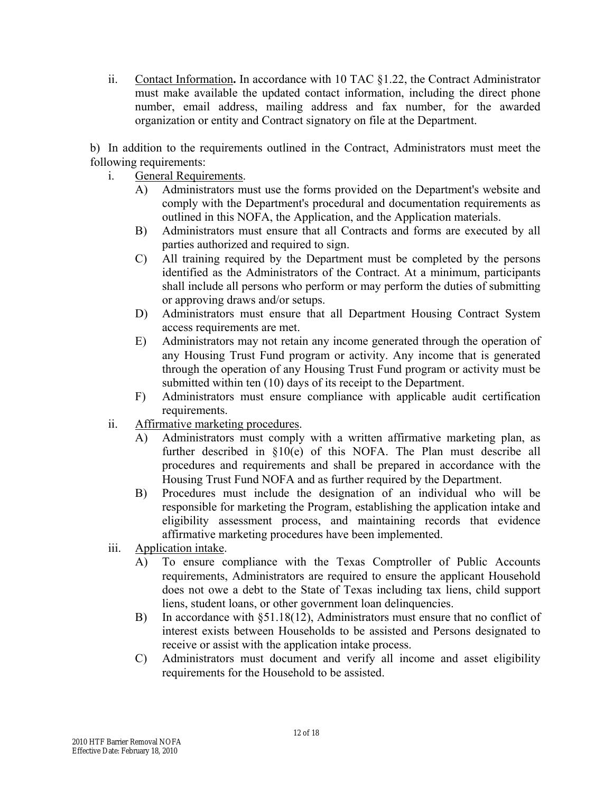ii. Contact Information**.** In accordance with 10 TAC §1.22, the Contract Administrator must make available the updated contact information, including the direct phone number, email address, mailing address and fax number, for the awarded organization or entity and Contract signatory on file at the Department.

b) In addition to the requirements outlined in the Contract, Administrators must meet the following requirements:

- i. General Requirements.
	- A) Administrators must use the forms provided on the Department's website and comply with the Department's procedural and documentation requirements as outlined in this NOFA, the Application, and the Application materials.
	- B) Administrators must ensure that all Contracts and forms are executed by all parties authorized and required to sign.
	- C) All training required by the Department must be completed by the persons identified as the Administrators of the Contract. At a minimum, participants shall include all persons who perform or may perform the duties of submitting or approving draws and/or setups.
	- D) Administrators must ensure that all Department Housing Contract System access requirements are met.
	- E) Administrators may not retain any income generated through the operation of any Housing Trust Fund program or activity. Any income that is generated through the operation of any Housing Trust Fund program or activity must be submitted within ten (10) days of its receipt to the Department.
	- F) Administrators must ensure compliance with applicable audit certification requirements.
- ii. Affirmative marketing procedures.
	- A) Administrators must comply with a written affirmative marketing plan, as further described in §10(e) of this NOFA. The Plan must describe all procedures and requirements and shall be prepared in accordance with the Housing Trust Fund NOFA and as further required by the Department.
	- B) Procedures must include the designation of an individual who will be responsible for marketing the Program, establishing the application intake and eligibility assessment process, and maintaining records that evidence affirmative marketing procedures have been implemented.
- iii. Application intake.
	- A) To ensure compliance with the Texas Comptroller of Public Accounts requirements, Administrators are required to ensure the applicant Household does not owe a debt to the State of Texas including tax liens, child support liens, student loans, or other government loan delinquencies.
	- B) In accordance with §51.18(12), Administrators must ensure that no conflict of interest exists between Households to be assisted and Persons designated to receive or assist with the application intake process.
	- C) Administrators must document and verify all income and asset eligibility requirements for the Household to be assisted.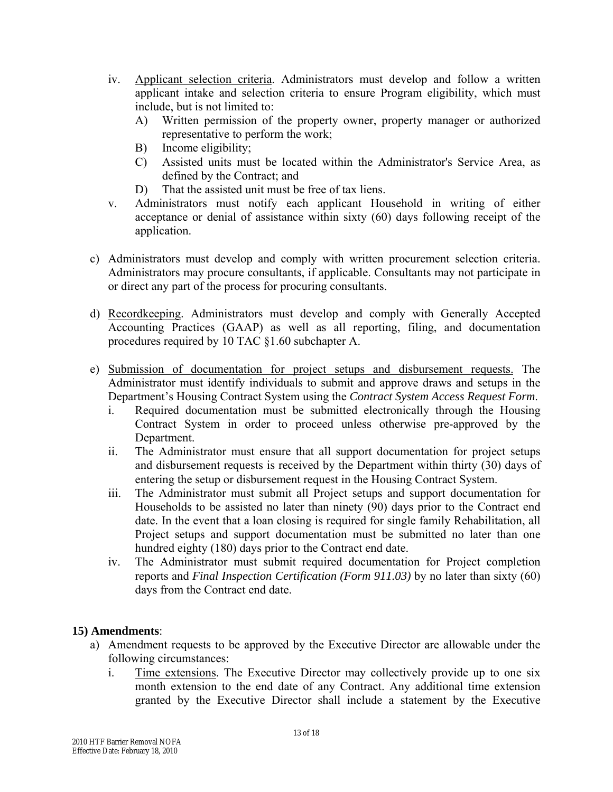- iv. Applicant selection criteria. Administrators must develop and follow a written applicant intake and selection criteria to ensure Program eligibility, which must include, but is not limited to:
	- A) Written permission of the property owner, property manager or authorized representative to perform the work;
	- B) Income eligibility;
	- C) Assisted units must be located within the Administrator's Service Area, as defined by the Contract; and
	- D) That the assisted unit must be free of tax liens.
- v. Administrators must notify each applicant Household in writing of either acceptance or denial of assistance within sixty (60) days following receipt of the application.
- c) Administrators must develop and comply with written procurement selection criteria. Administrators may procure consultants, if applicable. Consultants may not participate in or direct any part of the process for procuring consultants.
- d) Recordkeeping. Administrators must develop and comply with Generally Accepted Accounting Practices (GAAP) as well as all reporting, filing, and documentation procedures required by 10 TAC §1.60 subchapter A.
- e) Submission of documentation for project setups and disbursement requests. The Administrator must identify individuals to submit and approve draws and setups in the Department's Housing Contract System using the *Contract System Access Request Form*.
	- i. Required documentation must be submitted electronically through the Housing Contract System in order to proceed unless otherwise pre-approved by the Department.
	- ii. The Administrator must ensure that all support documentation for project setups and disbursement requests is received by the Department within thirty (30) days of entering the setup or disbursement request in the Housing Contract System.
	- iii. The Administrator must submit all Project setups and support documentation for Households to be assisted no later than ninety (90) days prior to the Contract end date. In the event that a loan closing is required for single family Rehabilitation, all Project setups and support documentation must be submitted no later than one hundred eighty (180) days prior to the Contract end date.
	- iv. The Administrator must submit required documentation for Project completion reports and *Final Inspection Certification (Form 911.03)* by no later than sixty (60) days from the Contract end date.

# **15) Amendments**:

- a) Amendment requests to be approved by the Executive Director are allowable under the following circumstances:
	- i. Time extensions. The Executive Director may collectively provide up to one six month extension to the end date of any Contract. Any additional time extension granted by the Executive Director shall include a statement by the Executive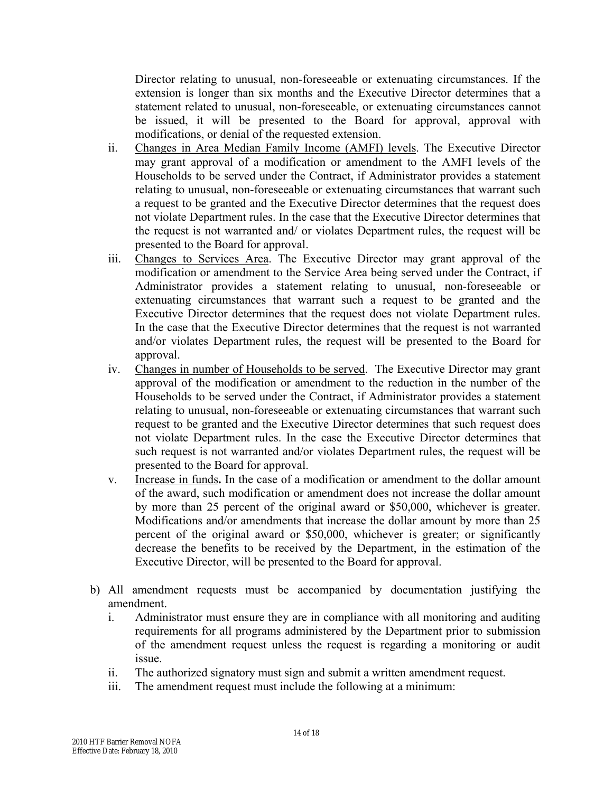Director relating to unusual, non-foreseeable or extenuating circumstances. If the extension is longer than six months and the Executive Director determines that a statement related to unusual, non-foreseeable, or extenuating circumstances cannot be issued, it will be presented to the Board for approval, approval with modifications, or denial of the requested extension.

- ii. Changes in Area Median Family Income (AMFI) levels. The Executive Director may grant approval of a modification or amendment to the AMFI levels of the Households to be served under the Contract, if Administrator provides a statement relating to unusual, non-foreseeable or extenuating circumstances that warrant such a request to be granted and the Executive Director determines that the request does not violate Department rules. In the case that the Executive Director determines that the request is not warranted and/ or violates Department rules, the request will be presented to the Board for approval.
- iii. Changes to Services Area. The Executive Director may grant approval of the modification or amendment to the Service Area being served under the Contract, if Administrator provides a statement relating to unusual, non-foreseeable or extenuating circumstances that warrant such a request to be granted and the Executive Director determines that the request does not violate Department rules. In the case that the Executive Director determines that the request is not warranted and/or violates Department rules, the request will be presented to the Board for approval.
- iv. Changes in number of Households to be served. The Executive Director may grant approval of the modification or amendment to the reduction in the number of the Households to be served under the Contract, if Administrator provides a statement relating to unusual, non-foreseeable or extenuating circumstances that warrant such request to be granted and the Executive Director determines that such request does not violate Department rules. In the case the Executive Director determines that such request is not warranted and/or violates Department rules, the request will be presented to the Board for approval.
- v. Increase in funds**.** In the case of a modification or amendment to the dollar amount of the award, such modification or amendment does not increase the dollar amount by more than 25 percent of the original award or \$50,000, whichever is greater. Modifications and/or amendments that increase the dollar amount by more than 25 percent of the original award or \$50,000, whichever is greater; or significantly decrease the benefits to be received by the Department, in the estimation of the Executive Director, will be presented to the Board for approval.
- b) All amendment requests must be accompanied by documentation justifying the amendment.
	- i. Administrator must ensure they are in compliance with all monitoring and auditing requirements for all programs administered by the Department prior to submission of the amendment request unless the request is regarding a monitoring or audit issue.
	- ii. The authorized signatory must sign and submit a written amendment request.
	- iii. The amendment request must include the following at a minimum: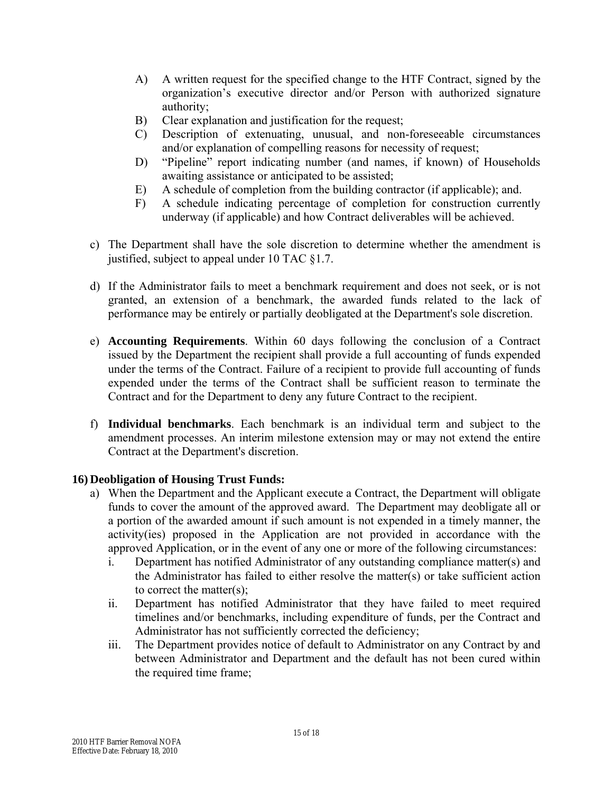- A) A written request for the specified change to the HTF Contract, signed by the organization's executive director and/or Person with authorized signature authority;
- B) Clear explanation and justification for the request;
- C) Description of extenuating, unusual, and non-foreseeable circumstances and/or explanation of compelling reasons for necessity of request;
- D) "Pipeline" report indicating number (and names, if known) of Households awaiting assistance or anticipated to be assisted;
- E) A schedule of completion from the building contractor (if applicable); and.
- F) A schedule indicating percentage of completion for construction currently underway (if applicable) and how Contract deliverables will be achieved.
- c) The Department shall have the sole discretion to determine whether the amendment is justified, subject to appeal under 10 TAC §1.7.
- d) If the Administrator fails to meet a benchmark requirement and does not seek, or is not granted, an extension of a benchmark, the awarded funds related to the lack of performance may be entirely or partially deobligated at the Department's sole discretion.
- e) **Accounting Requirements**. Within 60 days following the conclusion of a Contract issued by the Department the recipient shall provide a full accounting of funds expended under the terms of the Contract. Failure of a recipient to provide full accounting of funds expended under the terms of the Contract shall be sufficient reason to terminate the Contract and for the Department to deny any future Contract to the recipient.
- f) **Individual benchmarks**. Each benchmark is an individual term and subject to the amendment processes. An interim milestone extension may or may not extend the entire Contract at the Department's discretion.

# **16) Deobligation of Housing Trust Funds:**

- a) When the Department and the Applicant execute a Contract, the Department will obligate funds to cover the amount of the approved award. The Department may deobligate all or a portion of the awarded amount if such amount is not expended in a timely manner, the activity(ies) proposed in the Application are not provided in accordance with the approved Application, or in the event of any one or more of the following circumstances:
	- i. Department has notified Administrator of any outstanding compliance matter(s) and the Administrator has failed to either resolve the matter(s) or take sufficient action to correct the matter(s);
	- ii. Department has notified Administrator that they have failed to meet required timelines and/or benchmarks, including expenditure of funds, per the Contract and Administrator has not sufficiently corrected the deficiency;
	- iii. The Department provides notice of default to Administrator on any Contract by and between Administrator and Department and the default has not been cured within the required time frame;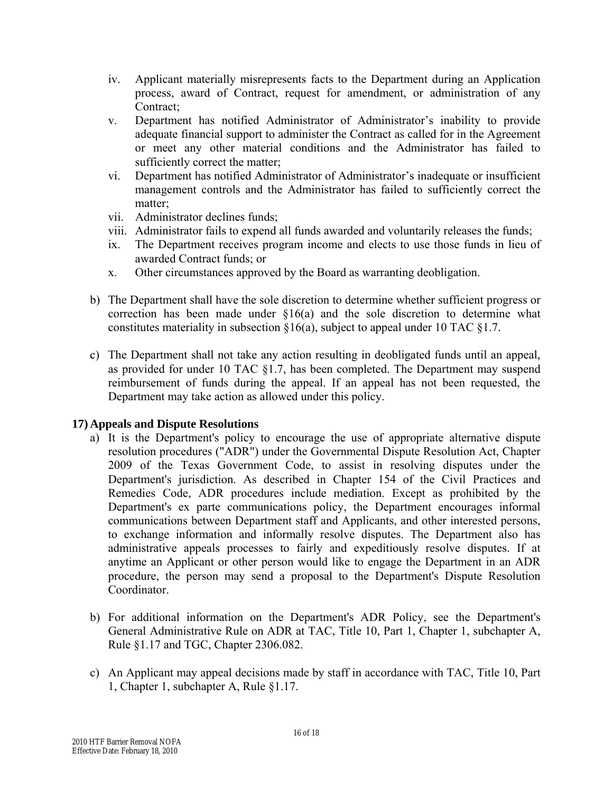- iv. Applicant materially misrepresents facts to the Department during an Application process, award of Contract, request for amendment, or administration of any Contract;
- v. Department has notified Administrator of Administrator's inability to provide adequate financial support to administer the Contract as called for in the Agreement or meet any other material conditions and the Administrator has failed to sufficiently correct the matter;
- vi. Department has notified Administrator of Administrator's inadequate or insufficient management controls and the Administrator has failed to sufficiently correct the matter;
- vii. Administrator declines funds;
- viii. Administrator fails to expend all funds awarded and voluntarily releases the funds;
- ix. The Department receives program income and elects to use those funds in lieu of awarded Contract funds; or
- x. Other circumstances approved by the Board as warranting deobligation.
- b) The Department shall have the sole discretion to determine whether sufficient progress or correction has been made under §16(a) and the sole discretion to determine what constitutes materiality in subsection §16(a), subject to appeal under 10 TAC §1.7.
- c) The Department shall not take any action resulting in deobligated funds until an appeal, as provided for under 10 TAC §1.7, has been completed. The Department may suspend reimbursement of funds during the appeal. If an appeal has not been requested, the Department may take action as allowed under this policy.

# **17) Appeals and Dispute Resolutions**

- a) It is the Department's policy to encourage the use of appropriate alternative dispute resolution procedures ("ADR") under the Governmental Dispute Resolution Act, Chapter 2009 of the Texas Government Code, to assist in resolving disputes under the Department's jurisdiction. As described in Chapter 154 of the Civil Practices and Remedies Code, ADR procedures include mediation. Except as prohibited by the Department's ex parte communications policy, the Department encourages informal communications between Department staff and Applicants, and other interested persons, to exchange information and informally resolve disputes. The Department also has administrative appeals processes to fairly and expeditiously resolve disputes. If at anytime an Applicant or other person would like to engage the Department in an ADR procedure, the person may send a proposal to the Department's Dispute Resolution Coordinator.
- b) For additional information on the Department's ADR Policy, see the Department's General Administrative Rule on ADR at TAC, Title 10, Part 1, Chapter 1, subchapter A, Rule §1.17 and TGC, Chapter 2306.082.
- c) An Applicant may appeal decisions made by staff in accordance with TAC, Title 10, Part 1, Chapter 1, subchapter A, Rule §1.17.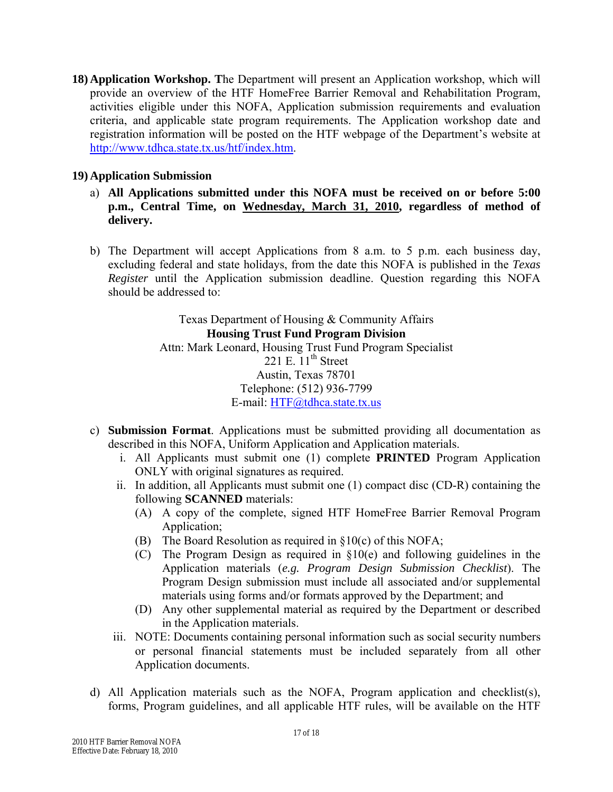**18) Application Workshop. T**he Department will present an Application workshop, which will provide an overview of the HTF HomeFree Barrier Removal and Rehabilitation Program, activities eligible under this NOFA, Application submission requirements and evaluation criteria, and applicable state program requirements. The Application workshop date and registration information will be posted on the HTF webpage of the Department's website at [http://www.tdhca.state.tx.us/htf/index.htm.](http://www.tdhca.state.tx.us/htf/index.htm)

### **19) Application Submission**

- a) **All Applications submitted under this NOFA must be received on or before 5:00 p.m., Central Time, on Wednesday, March 31, 2010, regardless of method of delivery.**
- b) The Department will accept Applications from 8 a.m. to 5 p.m. each business day, excluding federal and state holidays, from the date this NOFA is published in the *Texas Register* until the Application submission deadline. Question regarding this NOFA should be addressed to:

Texas Department of Housing & Community Affairs **Housing Trust Fund Program Division**  Attn: Mark Leonard, Housing Trust Fund Program Specialist 221 E.  $11<sup>th</sup>$  Street Austin, Texas 78701 Telephone: (512) 936-7799 E-mail: [HTF@tdhca.state.tx.us](mailto:HOME@tdhca.state.tx.us)

- c) **Submission Format**. Applications must be submitted providing all documentation as described in this NOFA, Uniform Application and Application materials.
	- i. All Applicants must submit one (1) complete **PRINTED** Program Application ONLY with original signatures as required.
	- ii. In addition, all Applicants must submit one (1) compact disc (CD-R) containing the following **SCANNED** materials:
		- (A) A copy of the complete, signed HTF HomeFree Barrier Removal Program Application;
		- (B) The Board Resolution as required in §10(c) of this NOFA;
		- (C) The Program Design as required in §10(e) and following guidelines in the Application materials (*e.g. Program Design Submission Checklist*). The Program Design submission must include all associated and/or supplemental materials using forms and/or formats approved by the Department; and
		- (D) Any other supplemental material as required by the Department or described in the Application materials.
	- iii. NOTE: Documents containing personal information such as social security numbers or personal financial statements must be included separately from all other Application documents.
- d) All Application materials such as the NOFA, Program application and checklist(s), forms, Program guidelines, and all applicable HTF rules, will be available on the HTF